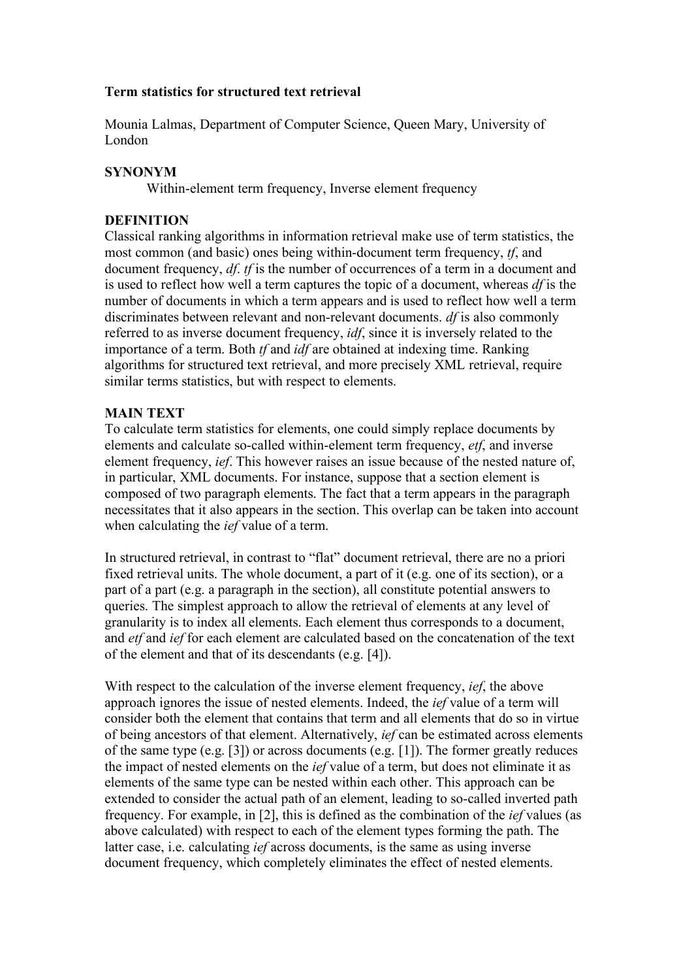### **Term statistics for structured text retrieval**

Mounia Lalmas, Department of Computer Science, Queen Mary, University of London

# **SYNONYM**

Within-element term frequency, Inverse element frequency

# **DEFINITION**

Classical ranking algorithms in information retrieval make use of term statistics, the most common (and basic) ones being within-document term frequency, *tf*, and document frequency, *df*. *tf* is the number of occurrences of a term in a document and is used to reflect how well a term captures the topic of a document, whereas *df* is the number of documents in which a term appears and is used to reflect how well a term discriminates between relevant and non-relevant documents. *df* is also commonly referred to as inverse document frequency, *idf*, since it is inversely related to the importance of a term. Both *tf* and *idf* are obtained at indexing time. Ranking algorithms for structured text retrieval, and more precisely XML retrieval, require similar terms statistics, but with respect to elements.

## **MAIN TEXT**

To calculate term statistics for elements, one could simply replace documents by elements and calculate so-called within-element term frequency, *etf*, and inverse element frequency, *ief*. This however raises an issue because of the nested nature of, in particular, XML documents. For instance, suppose that a section element is composed of two paragraph elements. The fact that a term appears in the paragraph necessitates that it also appears in the section. This overlap can be taken into account when calculating the *ief* value of a term.

In structured retrieval, in contrast to "flat" document retrieval, there are no a priori fixed retrieval units. The whole document, a part of it (e.g. one of its section), or a part of a part (e.g. a paragraph in the section), all constitute potential answers to queries. The simplest approach to allow the retrieval of elements at any level of granularity is to index all elements. Each element thus corresponds to a document, and *etf* and *ief* for each element are calculated based on the concatenation of the text of the element and that of its descendants (e.g. [4]).

With respect to the calculation of the inverse element frequency, *ief*, the above approach ignores the issue of nested elements. Indeed, the *ief* value of a term will consider both the element that contains that term and all elements that do so in virtue of being ancestors of that element. Alternatively, *ief* can be estimated across elements of the same type (e.g. [3]) or across documents (e.g. [1]). The former greatly reduces the impact of nested elements on the *ief* value of a term, but does not eliminate it as elements of the same type can be nested within each other. This approach can be extended to consider the actual path of an element, leading to so-called inverted path frequency. For example, in [2], this is defined as the combination of the *ief* values (as above calculated) with respect to each of the element types forming the path. The latter case, i.e. calculating *ief* across documents, is the same as using inverse document frequency, which completely eliminates the effect of nested elements.